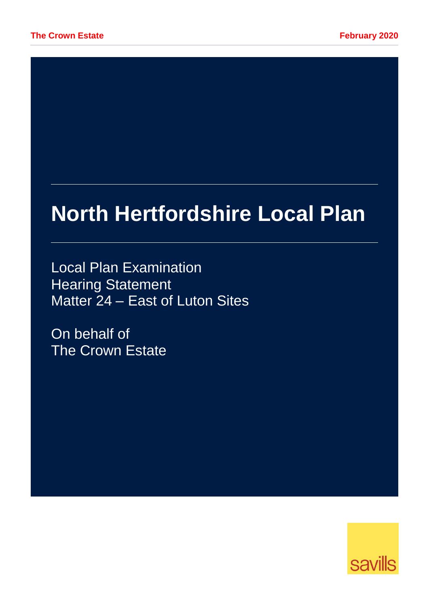Local Plan Examination **Hearing Statement** Matter 24 – East of Luton Sites

On behalf of The Crown Estate

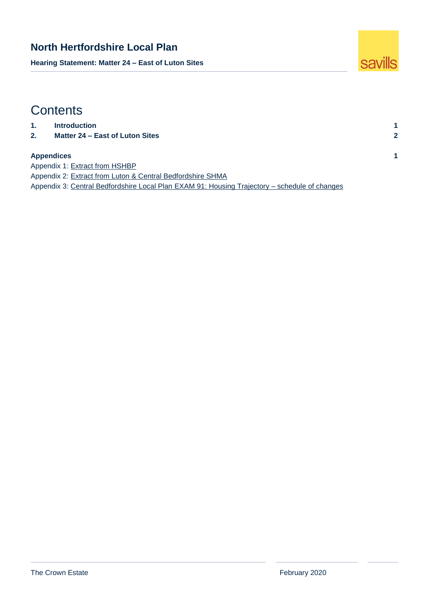**Hearing Statement: Matter 24 – East of Luton Sites**



# **Contents**

| $\mathbf{1}$ . | <b>Introduction</b>                                        |                         |
|----------------|------------------------------------------------------------|-------------------------|
| 2.             | Matter 24 – East of Luton Sites                            | $\overline{\mathbf{2}}$ |
|                | <b>Appendices</b>                                          |                         |
|                | Appendix 1: Extract from HSHBP                             |                         |
|                | Appendix 2: Extract from Luton & Central Bedfordshire SHMA |                         |

Appendix 3: [Central Bedfordshire Local Plan](#page-14-0) [EXAM 91: Housing Trajectory –](#page-14-0) schedule of changes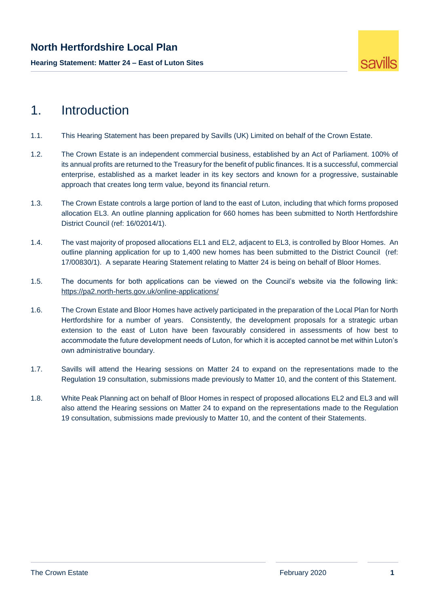**Hearing Statement: Matter 24 – East of Luton Sites**



# <span id="page-2-0"></span>1. Introduction

- 1.1. This Hearing Statement has been prepared by Savills (UK) Limited on behalf of the Crown Estate.
- 1.2. The Crown Estate is an independent commercial business, established by an Act of Parliament. 100% of its annual profits are returned to the Treasury for the benefit of public finances. It is a successful, commercial enterprise, established as a market leader in its key sectors and known for a progressive, sustainable approach that creates long term value, beyond its financial return.
- 1.3. The Crown Estate controls a large portion of land to the east of Luton, including that which forms proposed allocation EL3. An outline planning application for 660 homes has been submitted to North Hertfordshire District Council (ref: 16/02014/1).
- 1.4. The vast majority of proposed allocations EL1 and EL2, adjacent to EL3, is controlled by Bloor Homes. An outline planning application for up to 1,400 new homes has been submitted to the District Council (ref: 17/00830/1). A separate Hearing Statement relating to Matter 24 is being on behalf of Bloor Homes.
- 1.5. The documents for both applications can be viewed on the Council's website via the following link: <https://pa2.north-herts.gov.uk/online-applications/>
- 1.6. The Crown Estate and Bloor Homes have actively participated in the preparation of the Local Plan for North Hertfordshire for a number of years. Consistently, the development proposals for a strategic urban extension to the east of Luton have been favourably considered in assessments of how best to accommodate the future development needs of Luton, for which it is accepted cannot be met within Luton's own administrative boundary.
- 1.7. Savills will attend the Hearing sessions on Matter 24 to expand on the representations made to the Regulation 19 consultation, submissions made previously to Matter 10, and the content of this Statement.
- 1.8. White Peak Planning act on behalf of Bloor Homes in respect of proposed allocations EL2 and EL3 and will also attend the Hearing sessions on Matter 24 to expand on the representations made to the Regulation 19 consultation, submissions made previously to Matter 10, and the content of their Statements.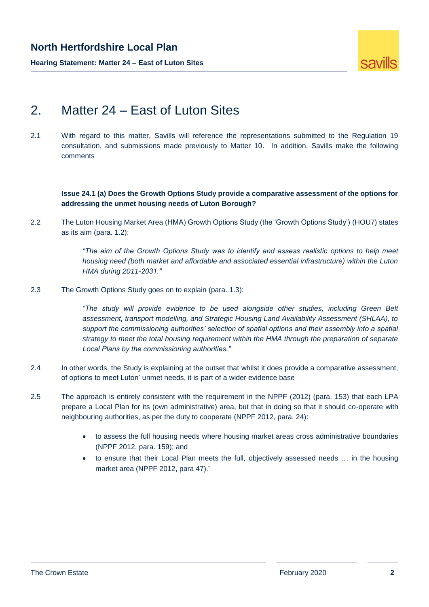

# <span id="page-3-0"></span>2. Matter 24 – East of Luton Sites

2.1 With regard to this matter, Savills will reference the representations submitted to the Regulation 19 consultation, and submissions made previously to Matter 10. In addition, Savills make the following comments

#### **Issue 24.1 (a) Does the Growth Options Study provide a comparative assessment of the options for addressing the unmet housing needs of Luton Borough?**

2.2 The Luton Housing Market Area (HMA) Growth Options Study (the 'Growth Options Study') (HOU7) states as its aim (para. 1.2):

> *"The aim of the Growth Options Study was to identify and assess realistic options to help meet housing need (both market and affordable and associated essential infrastructure) within the Luton HMA during 2011-2031."*

2.3 The Growth Options Study goes on to explain (para. 1.3):

*"The study will provide evidence to be used alongside other studies, including Green Belt assessment, transport modelling, and Strategic Housing Land Availability Assessment (SHLAA), to support the commissioning authorities' selection of spatial options and their assembly into a spatial strategy to meet the total housing requirement within the HMA through the preparation of separate Local Plans by the commissioning authorities."*

- 2.4 In other words, the Study is explaining at the outset that whilst it does provide a comparative assessment, of options to meet Luton' unmet needs, it is part of a wider evidence base
- 2.5 The approach is entirely consistent with the requirement in the NPPF (2012) (para. 153) that each LPA prepare a Local Plan for its (own administrative) area, but that in doing so that it should co-operate with neighbouring authorities, as per the duty to cooperate (NPPF 2012, para. 24):
	- to assess the full housing needs where housing market areas cross administrative boundaries (NPPF 2012, para. 159); and
	- to ensure that their Local Plan meets the full, objectively assessed needs … in the housing market area (NPPF 2012, para 47)."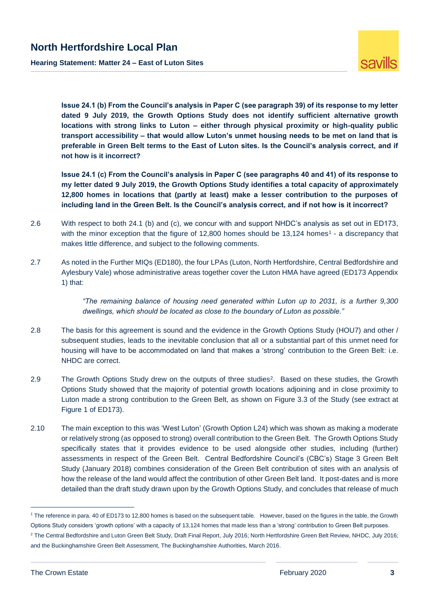**Hearing Statement: Matter 24 – East of Luton Sites**



**Issue 24.1 (b) From the Council's analysis in Paper C (see paragraph 39) of its response to my letter dated 9 July 2019, the Growth Options Study does not identify sufficient alternative growth locations with strong links to Luton – either through physical proximity or high-quality public transport accessibility – that would allow Luton's unmet housing needs to be met on land that is preferable in Green Belt terms to the East of Luton sites. Is the Council's analysis correct, and if not how is it incorrect?**

**Issue 24.1 (c) From the Council's analysis in Paper C (see paragraphs 40 and 41) of its response to my letter dated 9 July 2019, the Growth Options Study identifies a total capacity of approximately 12,800 homes in locations that (partly at least) make a lesser contribution to the purposes of including land in the Green Belt. Is the Council's analysis correct, and if not how is it incorrect?**

- 2.6 With respect to both 24.1 (b) and (c), we concur with and support NHDC's analysis as set out in ED173, with the minor exception that the figure of 12,800 homes should be  $13,124$  homes<sup>1</sup> - a discrepancy that makes little difference, and subject to the following comments.
- 2.7 As noted in the Further MIQs (ED180), the four LPAs (Luton, North Hertfordshire, Central Bedfordshire and Aylesbury Vale) whose administrative areas together cover the Luton HMA have agreed (ED173 Appendix 1) that:

*"The remaining balance of housing need generated within Luton up to 2031, is a further 9,300 dwellings, which should be located as close to the boundary of Luton as possible."*

- 2.8 The basis for this agreement is sound and the evidence in the Growth Options Study (HOU7) and other / subsequent studies, leads to the inevitable conclusion that all or a substantial part of this unmet need for housing will have to be accommodated on land that makes a 'strong' contribution to the Green Belt: i.e. NHDC are correct.
- 2.9 The Growth Options Study drew on the outputs of three studies<sup>2</sup>. Based on these studies, the Growth Options Study showed that the majority of potential growth locations adjoining and in close proximity to Luton made a strong contribution to the Green Belt, as shown on Figure 3.3 of the Study (see extract at Figure 1 of ED173).
- 2.10 The main exception to this was 'West Luton' (Growth Option L24) which was shown as making a moderate or relatively strong (as opposed to strong) overall contribution to the Green Belt. The Growth Options Study specifically states that it provides evidence to be used alongside other studies, including (further) assessments in respect of the Green Belt. Central Bedfordshire Council's (CBC's) Stage 3 Green Belt Study (January 2018) combines consideration of the Green Belt contribution of sites with an analysis of how the release of the land would affect the contribution of other Green Belt land. It post-dates and is more detailed than the draft study drawn upon by the Growth Options Study, and concludes that release of much

<sup>1</sup> The reference in para. 40 of ED173 to 12,800 homes is based on the subsequent table. However, based on the figures in the table, the Growth Options Study considers 'growth options' with a capacity of 13,124 homes that made less than a 'strong' contribution to Green Belt purposes.

<sup>&</sup>lt;sup>2</sup> The Central Bedfordshire and Luton Green Belt Study, Draft Final Report, July 2016; North Hertfordshire Green Belt Review, NHDC, July 2016; and the Buckinghamshire Green Belt Assessment, The Buckinghamshire Authorities, March 2016.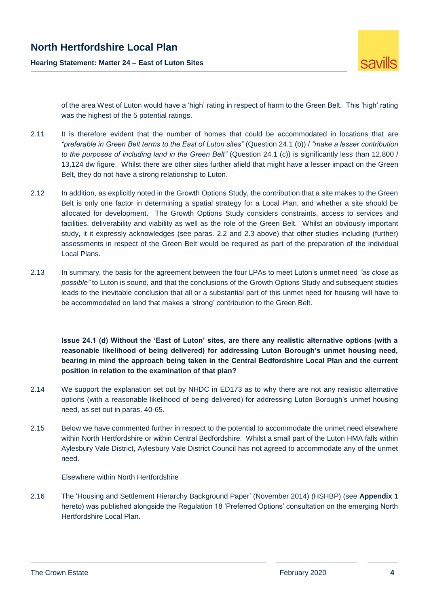

of the area West of Luton would have a 'high' rating in respect of harm to the Green Belt. This 'high' rating was the highest of the 5 potential ratings.

- 2.11 It is therefore evident that the number of homes that could be accommodated in locations that are *"preferable in Green Belt terms to the East of Luton sites"* (Question 24.1 (b)) / *"make a lesser contribution to the purposes of including land in the Green Belt"* (Question 24.1 (c)) is significantly less than 12,800 / 13,124 dw figure. Whilst there are other sites further afield that might have a lesser impact on the Green Belt, they do not have a strong relationship to Luton.
- 2.12 In addition, as explicitly noted in the Growth Options Study, the contribution that a site makes to the Green Belt is only one factor in determining a spatial strategy for a Local Plan, and whether a site should be allocated for development. The Growth Options Study considers constraints, access to services and facilities, deliverability and viability as well as the role of the Green Belt. Whilst an obviously important study, it it expressly acknowledges (see paras. 2.2 and 2.3 above) that other studies including (further) assessments in respect of the Green Belt would be required as part of the preparation of the individual Local Plans.
- 2.13 In summary, the basis for the agreement between the four LPAs to meet Luton's unmet need *"as close as possible"* to Luton is sound, and that the conclusions of the Growth Options Study and subsequent studies leads to the inevitable conclusion that all or a substantial part of this unmet need for housing will have to be accommodated on land that makes a 'strong' contribution to the Green Belt.

**Issue 24.1 (d) Without the 'East of Luton' sites, are there any realistic alternative options (with a reasonable likelihood of being delivered) for addressing Luton Borough's unmet housing need, bearing in mind the approach being taken in the Central Bedfordshire Local Plan and the current position in relation to the examination of that plan?**

- 2.14 We support the explanation set out by NHDC in ED173 as to why there are not any realistic alternative options (with a reasonable likelihood of being delivered) for addressing Luton Borough's unmet housing need, as set out in paras. 40-65.
- 2.15 Below we have commented further in respect to the potential to accommodate the unmet need elsewhere within North Hertfordshire or within Central Bedfordshire. Whilst a small part of the Luton HMA falls within Aylesbury Vale District, Aylesbury Vale District Council has not agreed to accommodate any of the unmet need.

#### Elsewhere within North Hertfordshire

2.16 The 'Housing and Settlement Hierarchy Background Paper' (November 2014) (HSHBP) (see **Appendix 1** hereto) was published alongside the Regulation 18 'Preferred Options' consultation on the emerging North Hertfordshire Local Plan.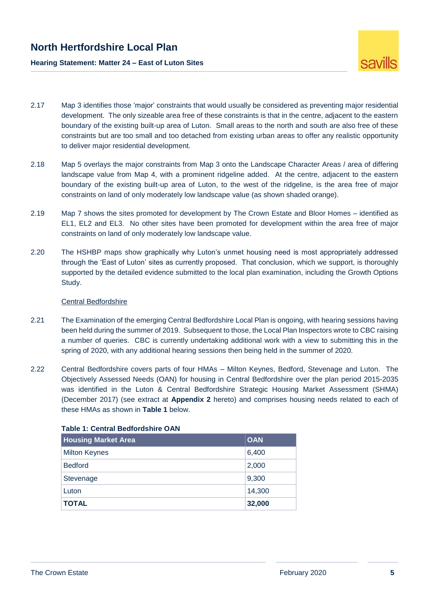

- 2.17 Map 3 identifies those 'major' constraints that would usually be considered as preventing major residential development. The only sizeable area free of these constraints is that in the centre, adjacent to the eastern boundary of the existing built-up area of Luton. Small areas to the north and south are also free of these constraints but are too small and too detached from existing urban areas to offer any realistic opportunity to deliver major residential development.
- 2.18 Map 5 overlays the major constraints from Map 3 onto the Landscape Character Areas / area of differing landscape value from Map 4, with a prominent ridgeline added. At the centre, adjacent to the eastern boundary of the existing built-up area of Luton, to the west of the ridgeline, is the area free of major constraints on land of only moderately low landscape value (as shown shaded orange).
- 2.19 Map 7 shows the sites promoted for development by The Crown Estate and Bloor Homes identified as EL1, EL2 and EL3. No other sites have been promoted for development within the area free of major constraints on land of only moderately low landscape value.
- 2.20 The HSHBP maps show graphically why Luton's unmet housing need is most appropriately addressed through the 'East of Luton' sites as currently proposed. That conclusion, which we support, is thoroughly supported by the detailed evidence submitted to the local plan examination, including the Growth Options Study.

#### Central Bedfordshire

- 2.21 The Examination of the emerging Central Bedfordshire Local Plan is ongoing, with hearing sessions having been held during the summer of 2019. Subsequent to those, the Local Plan Inspectors wrote to CBC raising a number of queries. CBC is currently undertaking additional work with a view to submitting this in the spring of 2020, with any additional hearing sessions then being held in the summer of 2020.
- 2.22 Central Bedfordshire covers parts of four HMAs Milton Keynes, Bedford, Stevenage and Luton. The Objectively Assessed Needs (OAN) for housing in Central Bedfordshire over the plan period 2015-2035 was identified in the Luton & Central Bedfordshire Strategic Housing Market Assessment (SHMA) (December 2017) (see extract at **Appendix 2** hereto) and comprises housing needs related to each of these HMAs as shown in **Table 1** below.

| <b>Housing Market Area</b> | <b>OAN</b> |
|----------------------------|------------|
| <b>Milton Keynes</b>       | 6,400      |
| <b>Bedford</b>             | 2,000      |
| Stevenage                  | 9,300      |
| Luton                      | 14,300     |
| <b>TOTAL</b>               | 32,000     |

#### **Table 1: Central Bedfordshire OAN**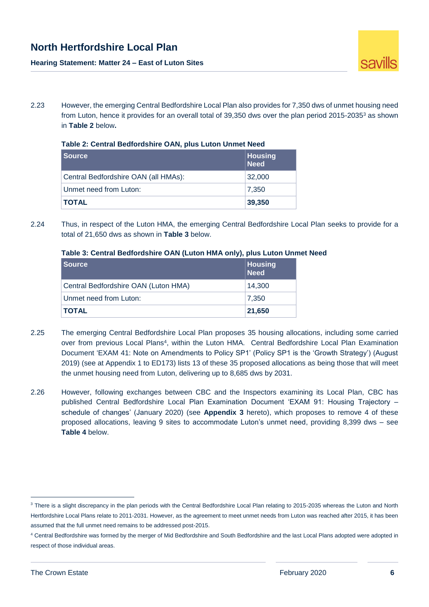

2.23 However, the emerging Central Bedfordshire Local Plan also provides for 7,350 dws of unmet housing need from Luton, hence it provides for an overall total of 39,350 dws over the plan period 2015-2035<sup>3</sup> as shown in **Table 2** below**.**

| Source,                              | <b>Housing</b><br><b>Need</b> |
|--------------------------------------|-------------------------------|
| Central Bedfordshire OAN (all HMAs): | 32,000                        |
| Unmet need from Luton:               | 7,350                         |
| <b>TOTAL</b>                         | 39,350                        |

|  | Table 2: Central Bedfordshire OAN, plus Luton Unmet Need |
|--|----------------------------------------------------------|

2.24 Thus, in respect of the Luton HMA, the emerging Central Bedfordshire Local Plan seeks to provide for a total of 21,650 dws as shown in **Table 3** below.

#### **Table 3: Central Bedfordshire OAN (Luton HMA only), plus Luton Unmet Need**

| <b>Source</b>                        | Housing<br><b>Need</b> |
|--------------------------------------|------------------------|
| Central Bedfordshire OAN (Luton HMA) | 14,300                 |
| Unmet need from Luton:               | 7,350                  |
| <b>TOTAL</b>                         | 21,650                 |

- 2.25 The emerging Central Bedfordshire Local Plan proposes 35 housing allocations, including some carried over from previous Local Plans<sup>4</sup>, within the Luton HMA. Central Bedfordshire Local Plan Examination Document 'EXAM 41: Note on Amendments to Policy SP1' (Policy SP1 is the 'Growth Strategy') (August 2019) (see at Appendix 1 to ED173) lists 13 of these 35 proposed allocations as being those that will meet the unmet housing need from Luton, delivering up to 8,685 dws by 2031.
- 2.26 However, following exchanges between CBC and the Inspectors examining its Local Plan, CBC has published Central Bedfordshire Local Plan Examination Document 'EXAM 91: Housing Trajectory – schedule of changes' (January 2020) (see **Appendix 3** hereto), which proposes to remove 4 of these proposed allocations, leaving 9 sites to accommodate Luton's unmet need, providing 8,399 dws – see **Table 4** below.

<sup>&</sup>lt;sup>3</sup> There is a slight discrepancy in the plan periods with the Central Bedfordshire Local Plan relating to 2015-2035 whereas the Luton and North Hertfordshire Local Plans relate to 2011-2031. However, as the agreement to meet unmet needs from Luton was reached after 2015, it has been assumed that the full unmet need remains to be addressed post-2015.

<sup>4</sup> Central Bedfordshire was formed by the merger of Mid Bedfordshire and South Bedfordshire and the last Local Plans adopted were adopted in respect of those individual areas.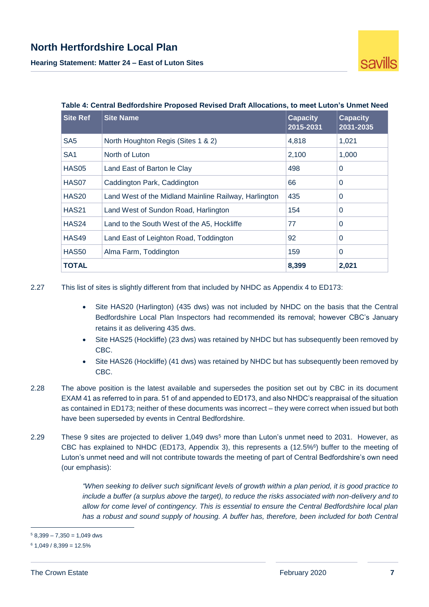

| <b>Site Ref</b> | <b>Site Name</b>                                      | <b>Capacity</b><br>2015-2031 | <b>Capacity</b><br>2031-2035 |
|-----------------|-------------------------------------------------------|------------------------------|------------------------------|
| SA <sub>5</sub> | North Houghton Regis (Sites 1 & 2)                    | 4,818                        | 1,021                        |
| SA <sub>1</sub> | North of Luton                                        | 2,100                        | 1,000                        |
| HAS05           | Land East of Barton le Clay                           | 498                          | $\mathbf{0}$                 |
| HAS07           | Caddington Park, Caddington                           | 66                           | $\Omega$                     |
| <b>HAS20</b>    | Land West of the Midland Mainline Railway, Harlington | 435                          | $\mathbf 0$                  |
| <b>HAS21</b>    | Land West of Sundon Road, Harlington                  | 154                          | $\Omega$                     |
| HAS24           | Land to the South West of the A5, Hockliffe           | 77                           | $\Omega$                     |
| HAS49           | Land East of Leighton Road, Toddington                | 92                           | $\Omega$                     |
| HAS50           | Alma Farm, Toddington                                 |                              | $\Omega$                     |
| <b>TOTAL</b>    |                                                       | 8,399                        | 2,021                        |

#### **Table 4: Central Bedfordshire Proposed Revised Draft Allocations, to meet Luton's Unmet Need**

2.27 This list of sites is slightly different from that included by NHDC as Appendix 4 to ED173:

- Site HAS20 (Harlington) (435 dws) was not included by NHDC on the basis that the Central Bedfordshire Local Plan Inspectors had recommended its removal; however CBC's January retains it as delivering 435 dws.
- Site HAS25 (Hockliffe) (23 dws) was retained by NHDC but has subsequently been removed by CBC.
- Site HAS26 (Hockliffe) (41 dws) was retained by NHDC but has subsequently been removed by CBC.
- 2.28 The above position is the latest available and supersedes the position set out by CBC in its document EXAM 41 as referred to in para. 51 of and appended to ED173, and also NHDC's reappraisal of the situation as contained in ED173; neither of these documents was incorrect – they were correct when issued but both have been superseded by events in Central Bedfordshire.
- 2.29 These 9 sites are projected to deliver 1,049 dws<sup>5</sup> more than Luton's unmet need to 2031. However, as CBC has explained to NHDC (ED173, Appendix 3), this represents a  $(12.5\%)$  buffer to the meeting of Luton's unmet need and will not contribute towards the meeting of part of Central Bedfordshire's own need (our emphasis):

*"When seeking to deliver such significant levels of growth within a plan period, it is good practice to include a buffer (a surplus above the target), to reduce the risks associated with non-delivery and to allow for come level of contingency. This is essential to ensure the Central Bedfordshire local plan*  has a robust and sound supply of housing. A buffer has, therefore, been included for both Central

 $5$  8,399 – 7,350 = 1,049 dws

 $6$  1,049 / 8,399 = 12.5%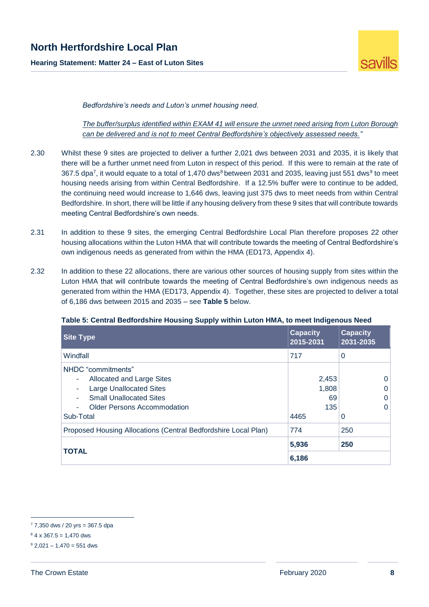**Hearing Statement: Matter 24 – East of Luton Sites**



*Bedfordshire's needs and Luton's unmet housing need.*

*The buffer/surplus identified within EXAM 41 will ensure the unmet need arising from Luton Borough can be delivered and is not to meet Central Bedfordshire's objectively assessed needs."*

- 2.30 Whilst these 9 sites are projected to deliver a further 2,021 dws between 2031 and 2035, it is likely that there will be a further unmet need from Luton in respect of this period. If this were to remain at the rate of 367.5 dpa<sup>7</sup>, it would equate to a total of 1,470 dws<sup>8</sup> between 2031 and 2035, leaving just 551 dws<sup>9</sup> to meet housing needs arising from within Central Bedfordshire. If a 12.5% buffer were to continue to be added, the continuing need would increase to 1,646 dws, leaving just 375 dws to meet needs from within Central Bedfordshire. In short, there will be little if any housing delivery from these 9 sites that will contribute towards meeting Central Bedfordshire's own needs.
- 2.31 In addition to these 9 sites, the emerging Central Bedfordshire Local Plan therefore proposes 22 other housing allocations within the Luton HMA that will contribute towards the meeting of Central Bedfordshire's own indigenous needs as generated from within the HMA (ED173, Appendix 4).
- 2.32 In addition to these 22 allocations, there are various other sources of housing supply from sites within the Luton HMA that will contribute towards the meeting of Central Bedfordshire's own indigenous needs as generated from within the HMA (ED173, Appendix 4). Together, these sites are projected to deliver a total of 6,186 dws between 2015 and 2035 – see **Table 5** below.

| <b>Site Type</b>                                                                                                                                                       | <b>Capacity</b><br>2015-2031        | <b>Capacity</b><br>2031-2035        |
|------------------------------------------------------------------------------------------------------------------------------------------------------------------------|-------------------------------------|-------------------------------------|
| Windfall                                                                                                                                                               | 717                                 | 0                                   |
| NHDC "commitments"<br>Allocated and Large Sites<br><b>Large Unallocated Sites</b><br><b>Small Unallocated Sites</b><br><b>Older Persons Accommodation</b><br>Sub-Total | 2,453<br>1,808<br>69<br>135<br>4465 | $\Omega$<br>0<br>O<br>$\Omega$<br>0 |
| Proposed Housing Allocations (Central Bedfordshire Local Plan)                                                                                                         | 250<br>774                          |                                     |
|                                                                                                                                                                        | 5,936                               | 250                                 |
| <b>TOTAL</b>                                                                                                                                                           | 6,186                               |                                     |

#### **Table 5: Central Bedfordshire Housing Supply within Luton HMA, to meet Indigenous Need**

 $77,350$  dws / 20 yrs = 367.5 dpa

 $84 \times 367.5 = 1,470$  dws

 $9$  2,021 – 1,470 = 551 dws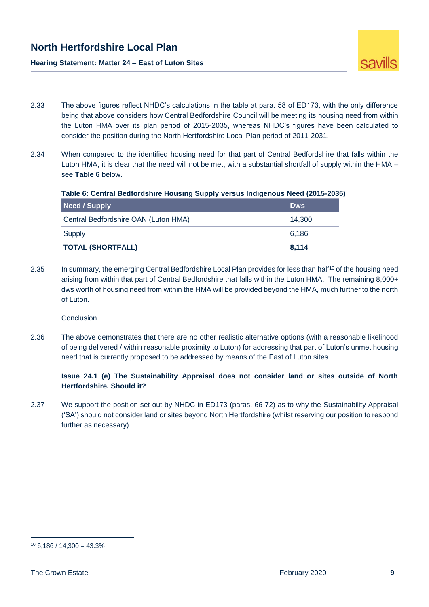



- 2.33 The above figures reflect NHDC's calculations in the table at para. 58 of ED173, with the only difference being that above considers how Central Bedfordshire Council will be meeting its housing need from within the Luton HMA over its plan period of 2015-2035, whereas NHDC's figures have been calculated to consider the position during the North Hertfordshire Local Plan period of 2011-2031.
- 2.34 When compared to the identified housing need for that part of Central Bedfordshire that falls within the Luton HMA, it is clear that the need will not be met, with a substantial shortfall of supply within the HMA – see **Table 6** below.

| Table 6: Central Bedfordshire Housing Supply versus Indigenous Need (2015-2035) |  |  |  |
|---------------------------------------------------------------------------------|--|--|--|
|                                                                                 |  |  |  |

| Need / Supply                        | <b>Dws</b> |
|--------------------------------------|------------|
| Central Bedfordshire OAN (Luton HMA) | 14,300     |
| <b>Supply</b>                        | 6,186      |
| <b>TOTAL (SHORTFALL)</b>             | 8,114      |

2.35 In summary, the emerging Central Bedfordshire Local Plan provides for less than half<sup>10</sup> of the housing need arising from within that part of Central Bedfordshire that falls within the Luton HMA. The remaining 8,000+ dws worth of housing need from within the HMA will be provided beyond the HMA, much further to the north of Luton.

#### **Conclusion**

2.36 The above demonstrates that there are no other realistic alternative options (with a reasonable likelihood of being delivered / within reasonable proximity to Luton) for addressing that part of Luton's unmet housing need that is currently proposed to be addressed by means of the East of Luton sites.

#### **Issue 24.1 (e) The Sustainability Appraisal does not consider land or sites outside of North Hertfordshire. Should it?**

2.37 We support the position set out by NHDC in ED173 (paras. 66-72) as to why the Sustainability Appraisal ('SA') should not consider land or sites beyond North Hertfordshire (whilst reserving our position to respond further as necessary).

 $10$  6,186 / 14,300 = 43.3%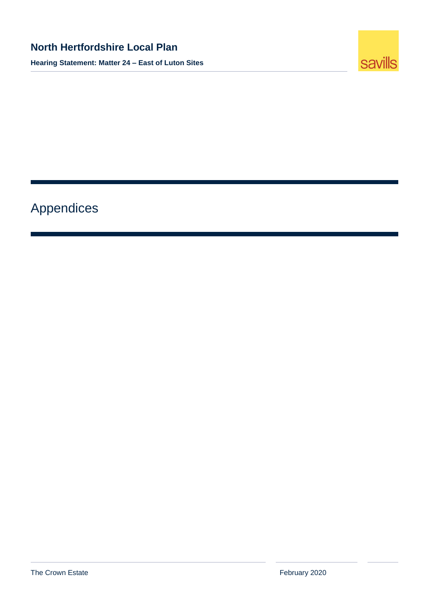**Hearing Statement: Matter 24 – East of Luton Sites**



# <span id="page-11-0"></span>Appendices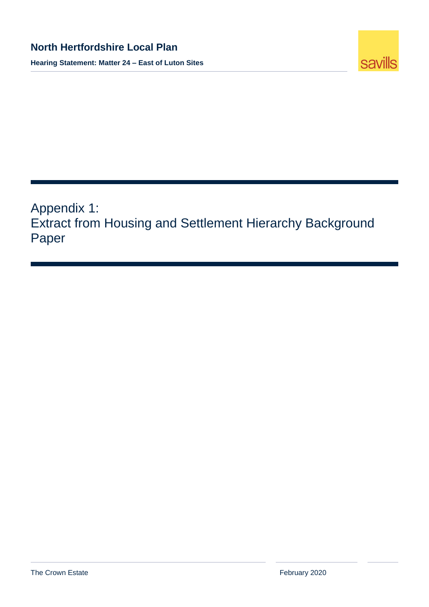

<span id="page-12-0"></span>Appendix 1: Extract from Housing and Settlement Hierarchy Background Paper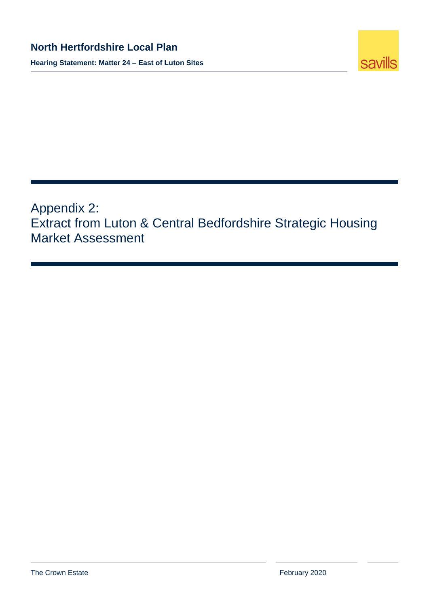

<span id="page-13-0"></span>Appendix 2: Extract from Luton & Central Bedfordshire Strategic Housing Market Assessment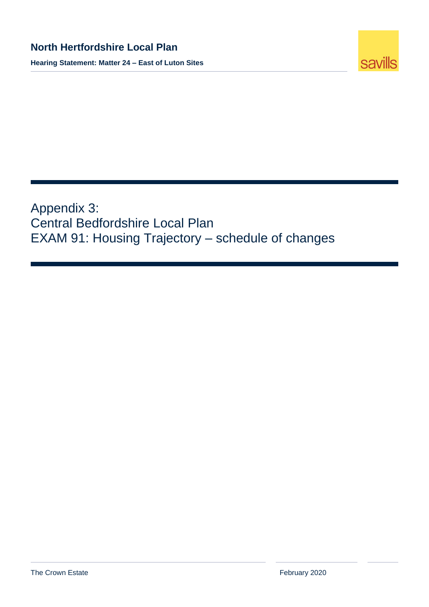

<span id="page-14-0"></span>Appendix 3: Central Bedfordshire Local Plan EXAM 91: Housing Trajectory – schedule of changes